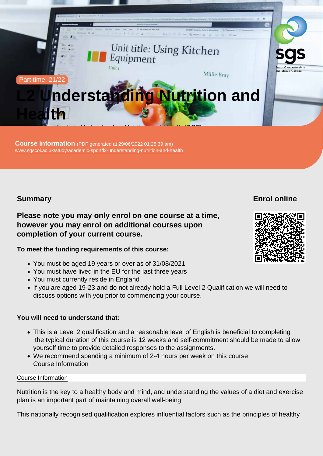#### Part time, 21/22

# L2 Understanding Nutrition and **Health**

Course information (PDF generated at 29/06/2022 01:25:39 am) [www.sgscol.ac.uk/study/academic-sport/l2-understanding-nutrition-and-health](https://www.sgscol.ac.uk/study/academic-sport/l2-understanding-nutrition-and-health)

Level 2 | Certificate in Understanding Nutrition and Health (RQF)

Summary

Enrol online

Please note you may only enrol on one course at a time, however you may enrol on additional courses upon completion of your current course.

To meet the funding requirements of this course:

- You must be aged 19 years or over as of 31/08/2021
- You must have lived in the EU for the last three years
- You must currently reside in England
- If you are aged 19-23 and do not already hold a Full Level 2 Qualification we will need to discuss options with you prior to commencing your course.

You will need to understand that:

- This is a Level 2 qualification and a reasonable level of English is beneficial to completing the typical duration of this course is 12 weeks and self-commitment should be made to allow yourself time to provide detailed responses to the assignments.
- We recommend spending a minimum of 2-4 hours per week on this course Course Information

#### Course Information

Nutrition is the key to a healthy body and mind, and understanding the values of a diet and exercise plan is an important part of maintaining overall well-being.

This nationally recognised qualification explores influential factors such as the principles of healthy